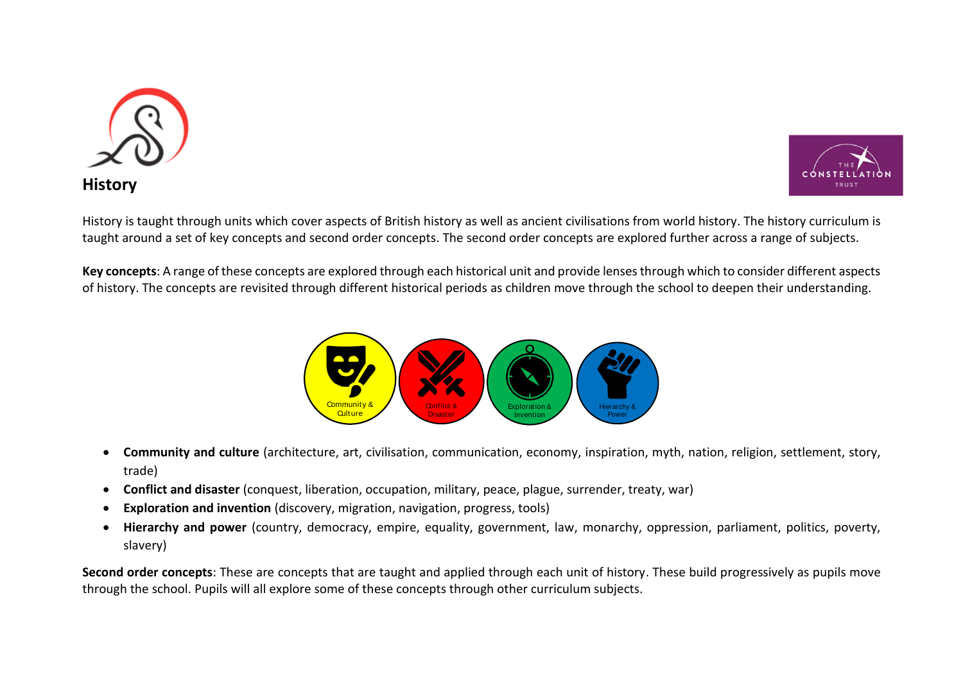



History is taught through units which cover aspects of British history as well as ancient civilisations from world history. The history curriculum is taught around a set of key concepts and second order concepts. The second order concepts are explored further across a range of subjects.

**Key concepts**: A range of these concepts are explored through each historical unit and provide lenses through which to consider different aspects of history. The concepts are revisited through different historical periods as children move through the school to deepen their understanding.



- **Community and culture** (architecture, art, civilisation, communication, economy, inspiration, myth, nation, religion, settlement, story, trade)
- **Conflict and disaster** (conquest, liberation, occupation, military, peace, plague, surrender, treaty, war)
- **Exploration and invention** (discovery, migration, navigation, progress, tools)
- **Hierarchy and power** (country, democracy, empire, equality, government, law, monarchy, oppression, parliament, politics, poverty, slavery)

**Second order concepts**: These are concepts that are taught and applied through each unit of history. These build progressively as pupils move through the school. Pupils will all explore some of these concepts through other curriculum subjects.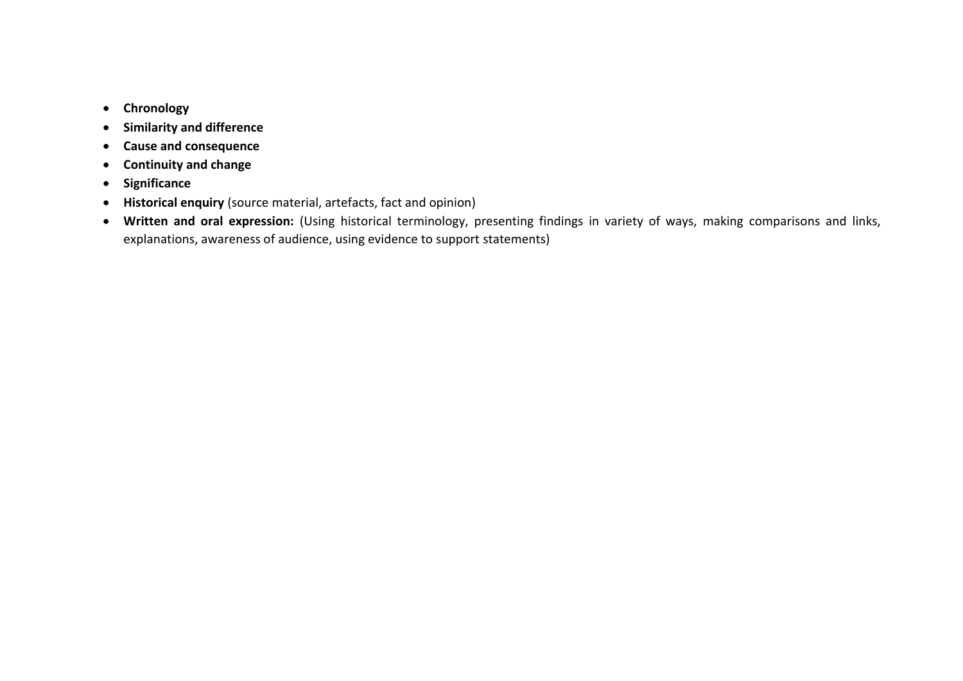- **Chronology**
- **Similarity and difference**
- **Cause and consequence**
- **Continuity and change**
- **•** Significance
- **Historical enquiry** (source material, artefacts, fact and opinion)
- **Written and oral expression:** (Using historical terminology, presenting findings in variety of ways, making comparisons and links, explanations, awareness of audience, using evidence to support statements)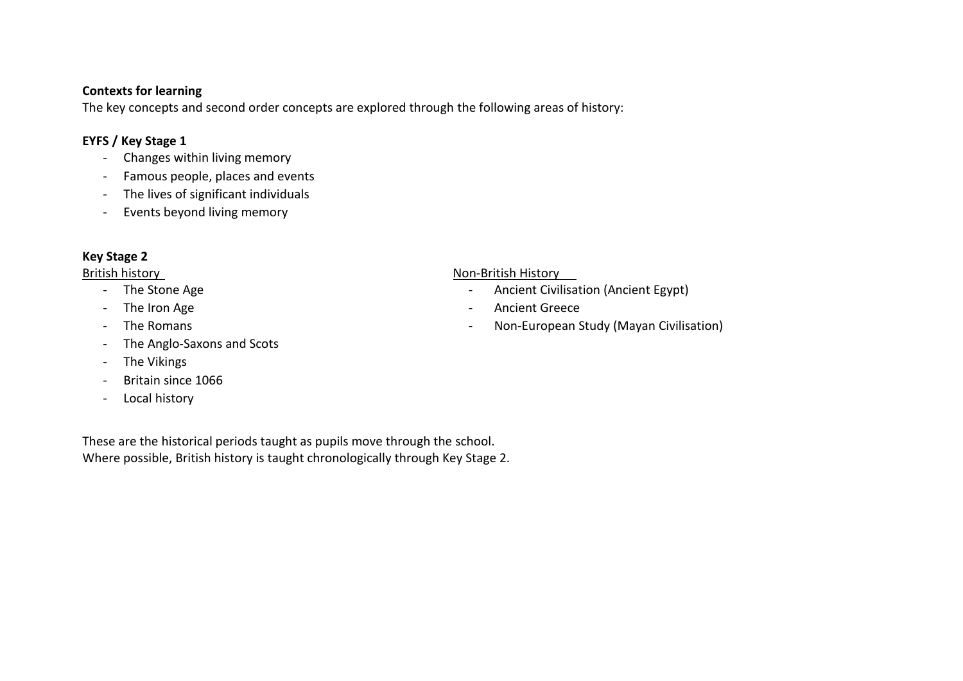### **Contexts for learning**

The key concepts and second order concepts are explored through the following areas of history:

## **EYFS / Key Stage 1**

- Changes within living memory
- Famous people, places and events
- The lives of significant individuals
- Events beyond living memory

# **Key Stage 2**

- 
- 
- 
- The Anglo-Saxons and Scots
- The Vikings
- Britain since 1066
- Local history

#### British history Non-British History

- The Stone Age  **Ancient Civilisation (Ancient Egypt)** Ancient Civilisation (Ancient Egypt)
- The Iron Age  **Ancient Greece**
- The Romans  **Non-European Study (Mayan Civilisation**)

These are the historical periods taught as pupils move through the school. Where possible, British history is taught chronologically through Key Stage 2.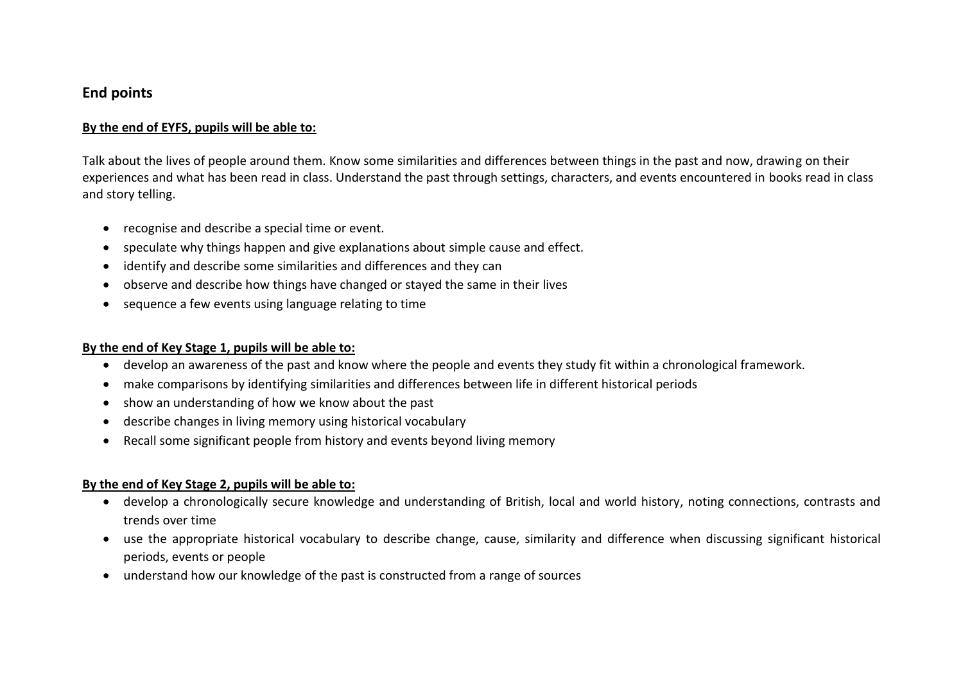# **End points**

### **By the end of EYFS, pupils will be able to:**

Talk about the lives of people around them. Know some similarities and differences between things in the past and now, drawing on their experiences and what has been read in class. Understand the past through settings, characters, and events encountered in books read in class and story telling.

- recognise and describe a special time or event.
- speculate why things happen and give explanations about simple cause and effect.
- identify and describe some similarities and differences and they can
- observe and describe how things have changed or stayed the same in their lives
- sequence a few events using language relating to time

#### **By the end of Key Stage 1, pupils will be able to:**

- develop an awareness of the past and know where the people and events they study fit within a chronological framework.
- make comparisons by identifying similarities and differences between life in different historical periods
- show an understanding of how we know about the past
- describe changes in living memory using historical vocabulary
- Recall some significant people from history and events beyond living memory

### **By the end of Key Stage 2, pupils will be able to:**

- develop a chronologically secure knowledge and understanding of British, local and world history, noting connections, contrasts and trends over time
- use the appropriate historical vocabulary to describe change, cause, similarity and difference when discussing significant historical periods, events or people
- understand how our knowledge of the past is constructed from a range of sources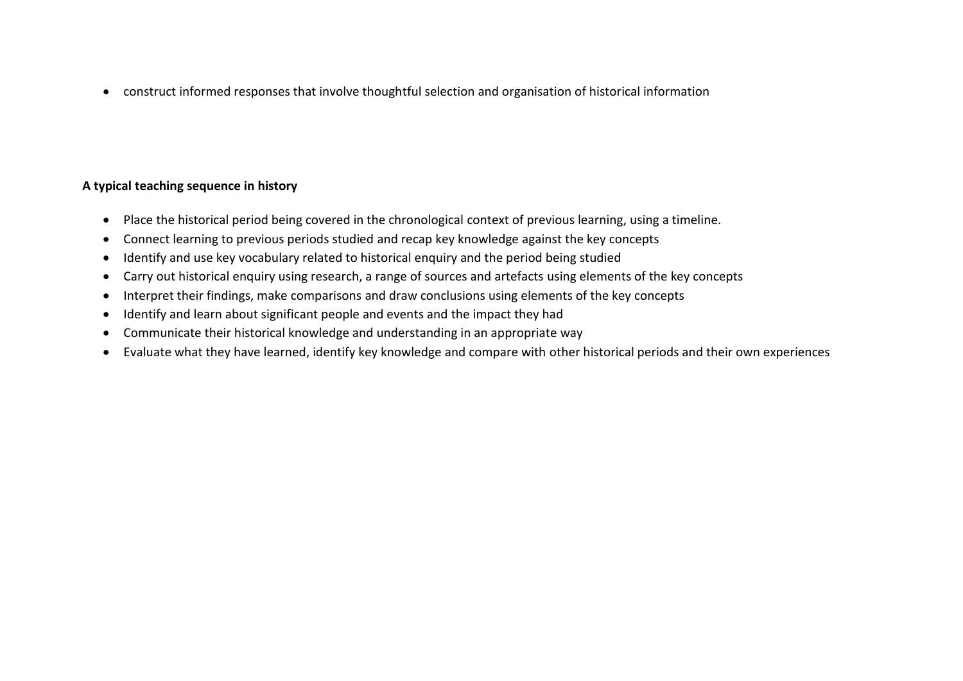construct informed responses that involve thoughtful selection and organisation of historical information

# **A typical teaching sequence in history**

- Place the historical period being covered in the chronological context of previous learning, using a timeline.
- Connect learning to previous periods studied and recap key knowledge against the key concepts
- Identify and use key vocabulary related to historical enquiry and the period being studied
- Carry out historical enquiry using research, a range of sources and artefacts using elements of the key concepts
- Interpret their findings, make comparisons and draw conclusions using elements of the key concepts
- Identify and learn about significant people and events and the impact they had
- Communicate their historical knowledge and understanding in an appropriate way
- Evaluate what they have learned, identify key knowledge and compare with other historical periods and their own experiences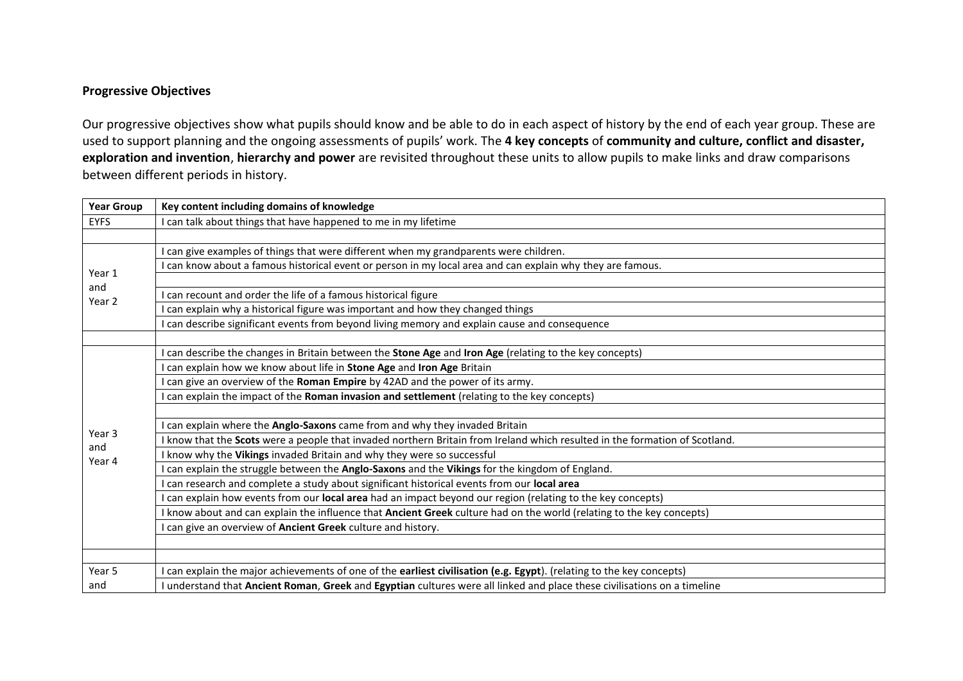## **Progressive Objectives**

Our progressive objectives show what pupils should know and be able to do in each aspect of history by the end of each year group. These are used to support planning and the ongoing assessments of pupils' work. The **4 key concepts** of **community and culture, conflict and disaster, exploration and invention**, **hierarchy and power** are revisited throughout these units to allow pupils to make links and draw comparisons between different periods in history.

| <b>Year Group</b> | Key content including domains of knowledge                                                                                  |
|-------------------|-----------------------------------------------------------------------------------------------------------------------------|
| <b>EYFS</b>       | I can talk about things that have happened to me in my lifetime                                                             |
|                   |                                                                                                                             |
|                   | I can give examples of things that were different when my grandparents were children.                                       |
|                   | I can know about a famous historical event or person in my local area and can explain why they are famous.                  |
| Year 1<br>and     |                                                                                                                             |
| Year 2            | I can recount and order the life of a famous historical figure                                                              |
|                   | I can explain why a historical figure was important and how they changed things                                             |
|                   | I can describe significant events from beyond living memory and explain cause and consequence                               |
|                   |                                                                                                                             |
|                   | can describe the changes in Britain between the Stone Age and Iron Age (relating to the key concepts)                       |
|                   | can explain how we know about life in Stone Age and Iron Age Britain                                                        |
|                   | can give an overview of the Roman Empire by 42AD and the power of its army.                                                 |
|                   | I can explain the impact of the Roman invasion and settlement (relating to the key concepts)                                |
|                   |                                                                                                                             |
| Year 3            | can explain where the Anglo-Saxons came from and why they invaded Britain                                                   |
| and               | I know that the Scots were a people that invaded northern Britain from Ireland which resulted in the formation of Scotland. |
| Year 4            | know why the Vikings invaded Britain and why they were so successful                                                        |
|                   | I can explain the struggle between the Anglo-Saxons and the Vikings for the kingdom of England.                             |
|                   | can research and complete a study about significant historical events from our local area                                   |
|                   | can explain how events from our local area had an impact beyond our region (relating to the key concepts)                   |
|                   | I know about and can explain the influence that Ancient Greek culture had on the world (relating to the key concepts)       |
|                   | I can give an overview of Ancient Greek culture and history.                                                                |
|                   |                                                                                                                             |
|                   |                                                                                                                             |
| Year 5            | I can explain the major achievements of one of the earliest civilisation (e.g. Egypt). (relating to the key concepts)       |
| and               | I understand that Ancient Roman, Greek and Egyptian cultures were all linked and place these civilisations on a timeline    |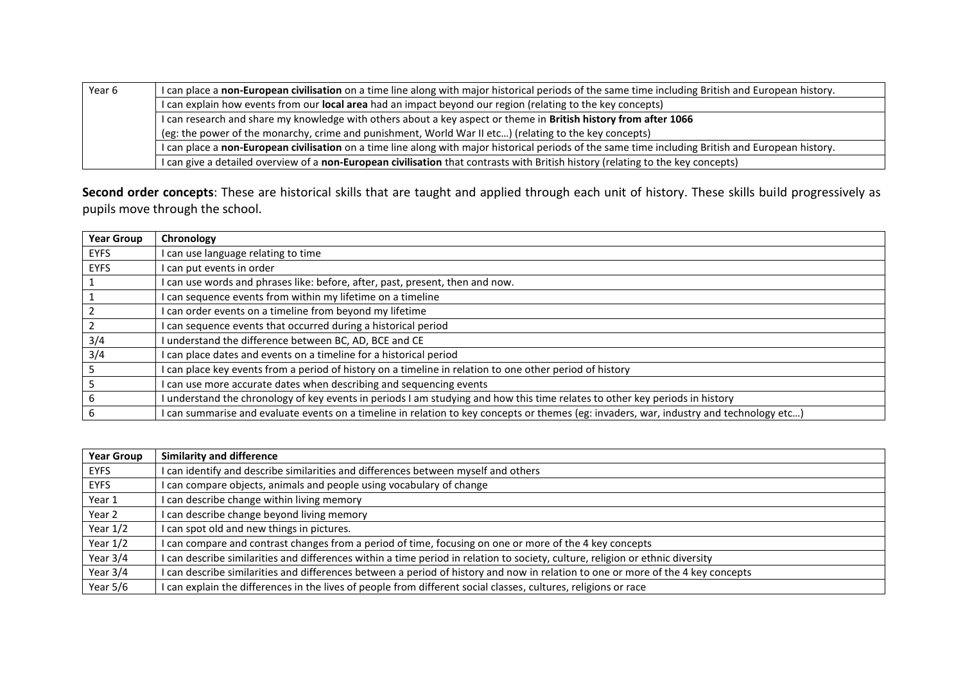| Year <sub>6</sub> | I can place a non-European civilisation on a time line along with major historical periods of the same time including British and European history. |
|-------------------|-----------------------------------------------------------------------------------------------------------------------------------------------------|
|                   | I can explain how events from our local area had an impact beyond our region (relating to the key concepts)                                         |
|                   | I can research and share my knowledge with others about a key aspect or theme in British history from after 1066                                    |
|                   | (eg: the power of the monarchy, crime and punishment, World War II etc) (relating to the key concepts)                                              |
|                   | I can place a non-European civilisation on a time line along with major historical periods of the same time including British and European history. |
|                   | I can give a detailed overview of a non-European civilisation that contrasts with British history (relating to the key concepts)                    |

**Second order concepts**: These are historical skills that are taught and applied through each unit of history. These skills build progressively as pupils move through the school.

| <b>Year Group</b> | Chronology                                                                                                                             |
|-------------------|----------------------------------------------------------------------------------------------------------------------------------------|
| EYFS              | I can use language relating to time                                                                                                    |
| <b>EYFS</b>       | can put events in order                                                                                                                |
|                   | can use words and phrases like: before, after, past, present, then and now.                                                            |
|                   | I can sequence events from within my lifetime on a timeline                                                                            |
|                   | I can order events on a timeline from beyond my lifetime                                                                               |
|                   | can sequence events that occurred during a historical period                                                                           |
| 3/4               | I understand the difference between BC, AD, BCE and CE                                                                                 |
| 3/4               | I can place dates and events on a timeline for a historical period                                                                     |
|                   | can place key events from a period of history on a timeline in relation to one other period of history                                 |
|                   | can use more accurate dates when describing and sequencing events                                                                      |
|                   | I understand the chronology of key events in periods I am studying and how this time relates to other key periods in history           |
|                   | can summarise and evaluate events on a timeline in relation to key concepts or themes (eg: invaders, war, industry and technology etc) |

| <b>Year Group</b> | <b>Similarity and difference</b>                                                                                                 |
|-------------------|----------------------------------------------------------------------------------------------------------------------------------|
| EYFS              | I can identify and describe similarities and differences between myself and others                                               |
| <b>EYFS</b>       | I can compare objects, animals and people using vocabulary of change                                                             |
| Year 1            | I can describe change within living memory                                                                                       |
| Year 2            | I can describe change beyond living memory                                                                                       |
| Year $1/2$        | I can spot old and new things in pictures.                                                                                       |
| Year $1/2$        | I can compare and contrast changes from a period of time, focusing on one or more of the 4 key concepts                          |
| Year $3/4$        | I can describe similarities and differences within a time period in relation to society, culture, religion or ethnic diversity   |
| Year $3/4$        | I can describe similarities and differences between a period of history and now in relation to one or more of the 4 key concepts |
| Year 5/6          | I can explain the differences in the lives of people from different social classes, cultures, religions or race                  |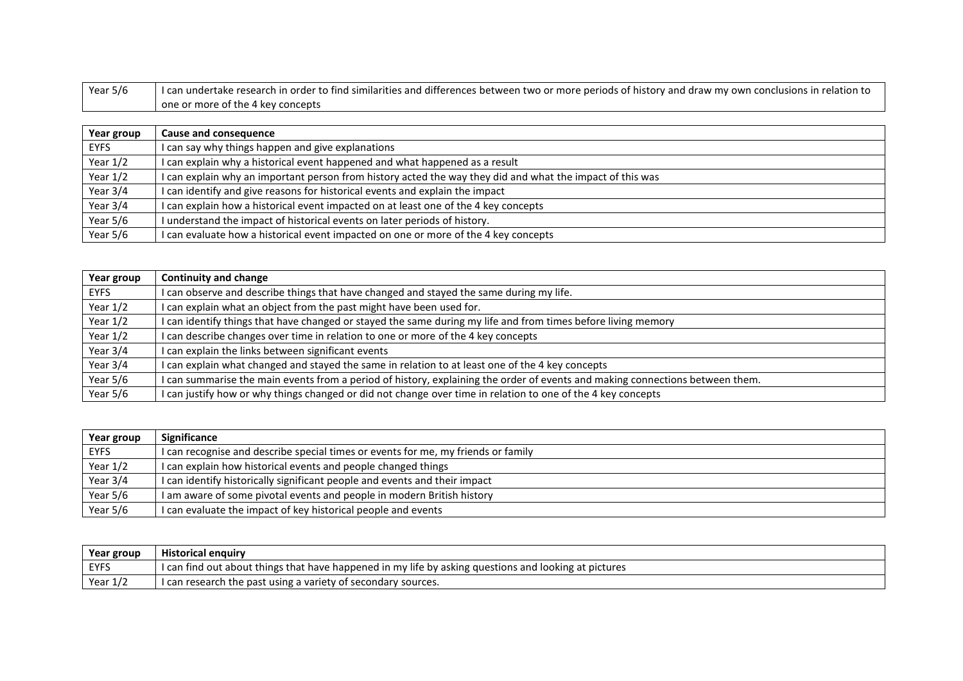| Year 5/6 | I can undertake research in order to find similarities and differences between two or more periods of history and draw my own conclusions in relation to |
|----------|----------------------------------------------------------------------------------------------------------------------------------------------------------|
|          | one or more of the 4 key concepts                                                                                                                        |

| Year group | Cause and consequence                                                                                     |
|------------|-----------------------------------------------------------------------------------------------------------|
| EYFS       | I can say why things happen and give explanations                                                         |
| Year $1/2$ | I can explain why a historical event happened and what happened as a result                               |
| Year $1/2$ | I can explain why an important person from history acted the way they did and what the impact of this was |
| Year $3/4$ | I can identify and give reasons for historical events and explain the impact                              |
| Year 3/4   | I can explain how a historical event impacted on at least one of the 4 key concepts                       |
| Year 5/6   | I understand the impact of historical events on later periods of history.                                 |
| Year $5/6$ | I can evaluate how a historical event impacted on one or more of the 4 key concepts                       |

| Year group  | <b>Continuity and change</b>                                                                                                  |
|-------------|-------------------------------------------------------------------------------------------------------------------------------|
| <b>EYFS</b> | I can observe and describe things that have changed and stayed the same during my life.                                       |
| Year $1/2$  | I can explain what an object from the past might have been used for.                                                          |
| Year $1/2$  | I can identify things that have changed or stayed the same during my life and from times before living memory                 |
| Year $1/2$  | I can describe changes over time in relation to one or more of the 4 key concepts                                             |
| Year 3/4    | I can explain the links between significant events                                                                            |
| Year 3/4    | I can explain what changed and stayed the same in relation to at least one of the 4 key concepts                              |
| Year 5/6    | I can summarise the main events from a period of history, explaining the order of events and making connections between them. |
| Year 5/6    | I can justify how or why things changed or did not change over time in relation to one of the 4 key concepts                  |

| Year group | Significance                                                                      |
|------------|-----------------------------------------------------------------------------------|
| EYFS       | I can recognise and describe special times or events for me, my friends or family |
| Year $1/2$ | I can explain how historical events and people changed things                     |
| Year 3/4   | I can identify historically significant people and events and their impact        |
| Year 5/6   | I am aware of some pivotal events and people in modern British history            |
| Year 5/6   | I can evaluate the impact of key historical people and events                     |

| Year group  | <b>Historical enguiry</b>                                                                             |
|-------------|-------------------------------------------------------------------------------------------------------|
| <b>EYFS</b> | I can find out about things that have happened in my life by asking questions and looking at pictures |
| Year $1/2$  | I can research the past using a variety of secondary sources.                                         |